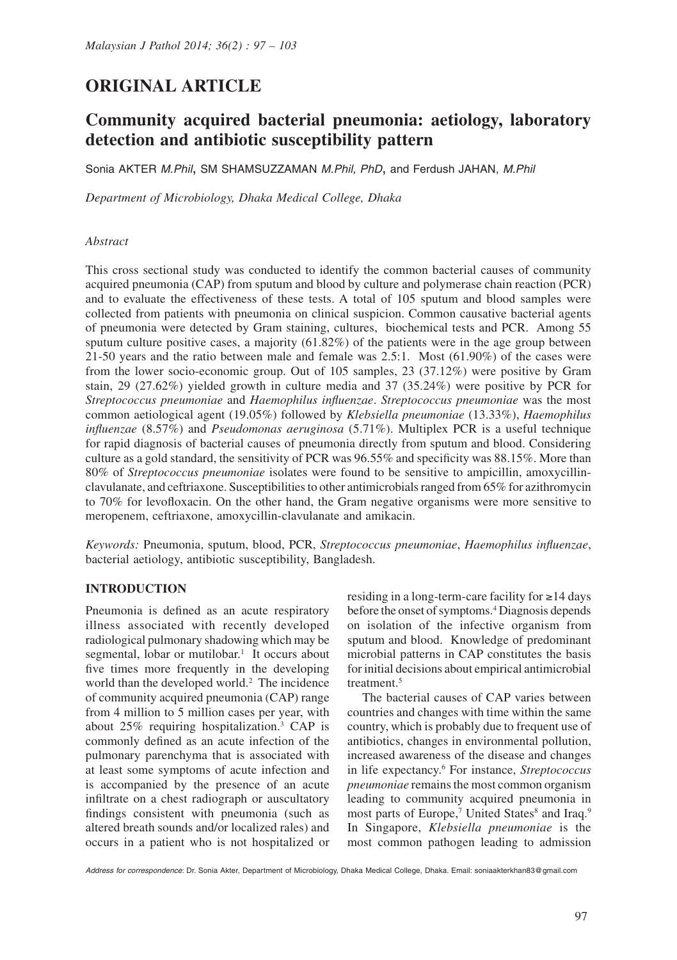# **ORIGINAL ARTICLE**

# **Community acquired bacterial pneumonia: aetiology, laboratory detection and antibiotic susceptibility pattern**

Sonia AKTER *M.Phil*, SM SHAMSUZZAMAN *M.Phil, PhD*, and Ferdush JAHAN, *M.Phil*

*Department of Microbiology, Dhaka Medical College, Dhaka*

#### *Abstract*

This cross sectional study was conducted to identify the common bacterial causes of community acquired pneumonia (CAP) from sputum and blood by culture and polymerase chain reaction (PCR) and to evaluate the effectiveness of these tests. A total of 105 sputum and blood samples were collected from patients with pneumonia on clinical suspicion. Common causative bacterial agents of pneumonia were detected by Gram staining, cultures, biochemical tests and PCR. Among 55 sputum culture positive cases, a majority (61.82%) of the patients were in the age group between 21-50 years and the ratio between male and female was 2.5:1. Most (61.90%) of the cases were from the lower socio-economic group. Out of 105 samples, 23 (37.12%) were positive by Gram stain, 29 (27.62%) yielded growth in culture media and 37 (35.24%) were positive by PCR for *Streptococcus pneumoniae* and *Haemophilus influenzae*. *Streptococcus pneumoniae* was the most common aetiological agent (19.05%) followed by *Klebsiella pneumoniae* (13.33%), *Haemophilus influenzae* (8.57%) and *Pseudomonas aeruginosa* (5.71%). Multiplex PCR is a useful technique for rapid diagnosis of bacterial causes of pneumonia directly from sputum and blood. Considering culture as a gold standard, the sensitivity of PCR was 96.55% and specificity was 88.15%. More than 80% of *Streptococcus pneumoniae* isolates were found to be sensitive to ampicillin, amoxycillinclavulanate, and ceftriaxone. Susceptibilities to other antimicrobials ranged from 65% for azithromycin to 70% for levofloxacin. On the other hand, the Gram negative organisms were more sensitive to meropenem, ceftriaxone, amoxycillin-clavulanate and amikacin.

*Keywords:* Pneumonia, sputum, blood, PCR, *Streptococcus pneumoniae*, *Haemophilus influenzae*, bacterial aetiology, antibiotic susceptibility, Bangladesh.

#### **INTRODUCTION**

Pneumonia is defined as an acute respiratory illness associated with recently developed radiological pulmonary shadowing which may be segmental, lobar or mutilobar.<sup>1</sup> It occurs about five times more frequently in the developing world than the developed world.<sup>2</sup> The incidence of community acquired pneumonia (CAP) range from 4 million to 5 million cases per year, with about 25% requiring hospitalization.3 CAP is commonly defined as an acute infection of the pulmonary parenchyma that is associated with at least some symptoms of acute infection and is accompanied by the presence of an acute infiltrate on a chest radiograph or auscultatory findings consistent with pneumonia (such as altered breath sounds and/or localized rales) and occurs in a patient who is not hospitalized or

residing in a long-term-care facility for ≥14 days before the onset of symptoms.4 Diagnosis depends on isolation of the infective organism from sputum and blood. Knowledge of predominant microbial patterns in CAP constitutes the basis for initial decisions about empirical antimicrobial treatment.5

The bacterial causes of CAP varies between countries and changes with time within the same country, which is probably due to frequent use of antibiotics, changes in environmental pollution, increased awareness of the disease and changes in life expectancy.6 For instance, *Streptococcus pneumoniae* remains the most common organism leading to community acquired pneumonia in most parts of Europe,<sup>7</sup> United States<sup>8</sup> and Iraq.<sup>9</sup> In Singapore, *Klebsiella pneumoniae* is the most common pathogen leading to admission

*Address for correspondence*: Dr. Sonia Akter, Department of Microbiology, Dhaka Medical College, Dhaka. Email: soniaakterkhan83@gmail.com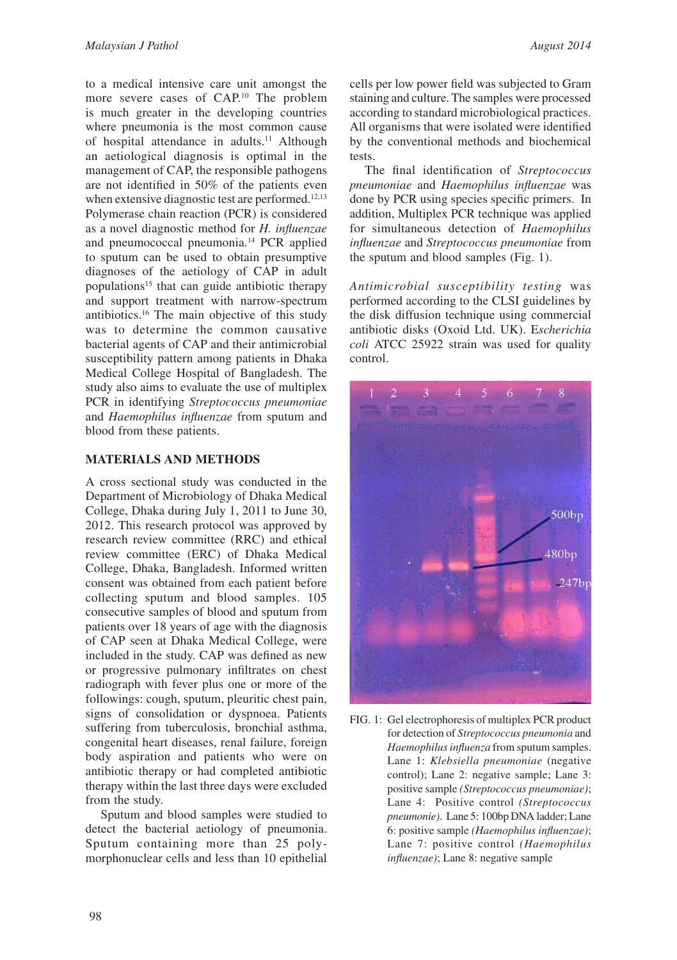to a medical intensive care unit amongst the more severe cases of CAP.10 The problem is much greater in the developing countries where pneumonia is the most common cause of hospital attendance in adults.<sup>11</sup> Although an aetiological diagnosis is optimal in the management of CAP, the responsible pathogens are not identified in 50% of the patients even when extensive diagnostic test are performed.<sup>12,13</sup> Polymerase chain reaction (PCR) is considered as a novel diagnostic method for *H. influenzae* and pneumococcal pneumonia.14 PCR applied to sputum can be used to obtain presumptive diagnoses of the aetiology of CAP in adult populations<sup>15</sup> that can guide antibiotic therapy and support treatment with narrow-spectrum antibiotics.16 The main objective of this study was to determine the common causative bacterial agents of CAP and their antimicrobial susceptibility pattern among patients in Dhaka Medical College Hospital of Bangladesh. The study also aims to evaluate the use of multiplex PCR in identifying *Streptococcus pneumoniae*  and *Haemophilus influenzae* from sputum and blood from these patients.

## **MATERIALS AND METHODS**

A cross sectional study was conducted in the Department of Microbiology of Dhaka Medical College, Dhaka during July 1, 2011 to June 30, 2012. This research protocol was approved by research review committee (RRC) and ethical review committee (ERC) of Dhaka Medical College, Dhaka, Bangladesh. Informed written consent was obtained from each patient before collecting sputum and blood samples. 105 consecutive samples of blood and sputum from patients over 18 years of age with the diagnosis of CAP seen at Dhaka Medical College, were included in the study. CAP was defined as new or progressive pulmonary infiltrates on chest radiograph with fever plus one or more of the followings: cough, sputum, pleuritic chest pain, signs of consolidation or dyspnoea. Patients suffering from tuberculosis, bronchial asthma, congenital heart diseases, renal failure, foreign body aspiration and patients who were on antibiotic therapy or had completed antibiotic therapy within the last three days were excluded from the study.

Sputum and blood samples were studied to detect the bacterial aetiology of pneumonia. Sputum containing more than 25 polymorphonuclear cells and less than 10 epithelial

cells per low power field was subjected to Gram staining and culture. The samples were processed according to standard microbiological practices. All organisms that were isolated were identified by the conventional methods and biochemical tests.

The final identification of *Streptococcus pneumoniae* and *Haemophilus influenzae* was done by PCR using species specific primers. In addition, Multiplex PCR technique was applied for simultaneous detection of *Haemophilus influenzae* and *Streptococcus pneumoniae* from the sputum and blood samples (Fig. 1).

*Antimicrobial susceptibility testing* was performed according to the CLSI guidelines by the disk diffusion technique using commercial antibiotic disks (Oxoid Ltd. UK). E*scherichia coli* ATCC 25922 strain was used for quality control.



FIG. 1: Gel electrophoresis of multiplex PCR product for detection of *Streptococcus pneumonia* and *Haemophilus influenza* from sputum samples. Lane 1: *Klebsiella pneumoniae* (negative control); Lane 2: negative sample; Lane 3: positive sample *(Streptococcus pneumoniae)*; Lane 4: Positive control *(Streptococcus pneumonie)*. Lane 5: 100bp DNA ladder; Lane 6: positive sample *(Haemophilus influenzae)*; Lane 7: positive control *(Haemophilus influenzae)*; Lane 8: negative sample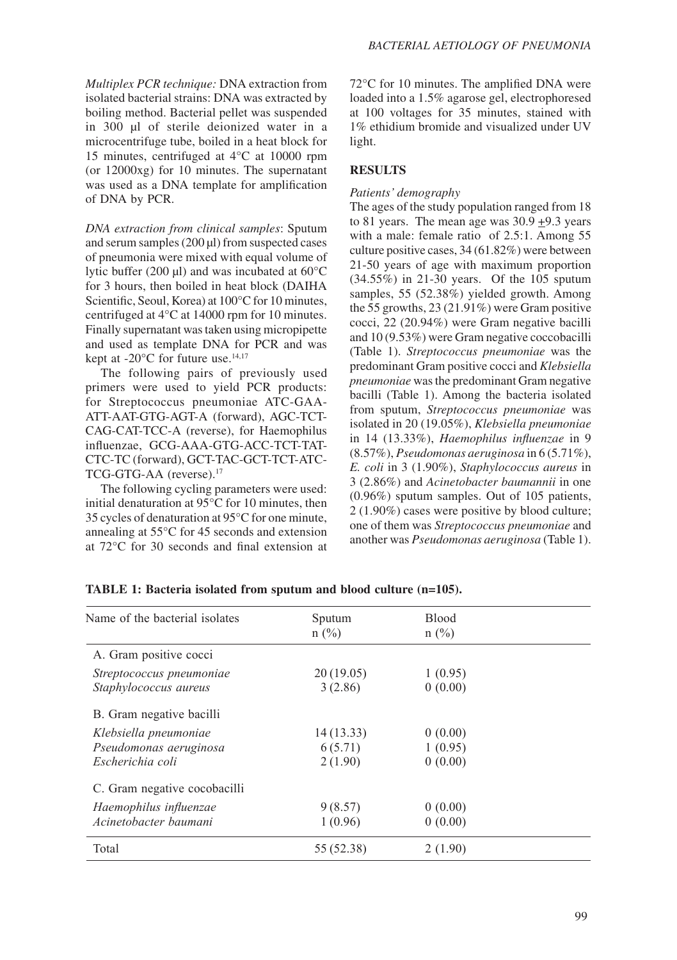*Multiplex PCR technique:* DNA extraction from isolated bacterial strains: DNA was extracted by boiling method. Bacterial pellet was suspended in 300 µl of sterile deionized water in a microcentrifuge tube, boiled in a heat block for 15 minutes, centrifuged at 4°C at 10000 rpm (or 12000xg) for 10 minutes. The supernatant was used as a DNA template for amplification of DNA by PCR.

*DNA extraction from clinical samples*: Sputum and serum samples (200 ul) from suspected cases of pneumonia were mixed with equal volume of lytic buffer (200  $\mu$ I) and was incubated at 60 $\rm ^{o}C$ for 3 hours, then boiled in heat block (DAIHA Scientific, Seoul, Korea) at 100°C for 10 minutes, centrifuged at 4°C at 14000 rpm for 10 minutes. Finally supernatant was taken using micropipette and used as template DNA for PCR and was kept at -20 $^{\circ}$ C for future use.<sup>14,17</sup>

The following pairs of previously used primers were used to yield PCR products: for Streptococcus pneumoniae ATC-GAA-ATT-AAT-GTG-AGT-A (forward), AGC-TCT-CAG-CAT-TCC-A (reverse), for Haemophilus influenzae, GCG-AAA-GTG-ACC-TCT-TAT-CTC-TC (forward), GCT-TAC-GCT-TCT-ATC-TCG-GTG-AA (reverse).17

The following cycling parameters were used: initial denaturation at 95°C for 10 minutes, then 35 cycles of denaturation at 95°C for one minute, annealing at 55°C for 45 seconds and extension at 72°C for 30 seconds and final extension at 72°C for 10 minutes. The amplified DNA were loaded into a 1.5% agarose gel, electrophoresed at 100 voltages for 35 minutes, stained with 1% ethidium bromide and visualized under UV light.

## **RESULTS**

### *Patients' demography*

The ages of the study population ranged from 18 to 81 years. The mean age was 30.9 +9.3 years with a male: female ratio of 2.5:1. Among 55 culture positive cases, 34 (61.82%) were between 21-50 years of age with maximum proportion (34.55%) in 21-30 years. Of the 105 sputum samples, 55 (52.38%) yielded growth. Among the 55 growths, 23 (21.91%) were Gram positive cocci, 22 (20.94%) were Gram negative bacilli and 10 (9.53%) were Gram negative coccobacilli (Table 1). *Streptococcus pneumoniae* was the predominant Gram positive cocci and *Klebsiella pneumoniae* was the predominant Gram negative bacilli (Table 1). Among the bacteria isolated from sputum, *Streptococcus pneumoniae* was isolated in 20 (19.05%), *Klebsiella pneumoniae*  in 14 (13.33%), *Haemophilus influenzae* in 9 (8.57%), *Pseudomonas aeruginosa* in 6 (5.71%), *E. coli* in 3 (1.90%), *Staphylococcus aureus* in 3 (2.86%) and *Acinetobacter baumannii* in one (0.96%) sputum samples. Out of 105 patients, 2 (1.90%) cases were positive by blood culture; one of them was *Streptococcus pneumoniae* and another was *Pseudomonas aeruginosa* (Table 1).

| Name of the bacterial isolates | Sputum<br>$n$ (%) | <b>Blood</b><br>$n(^{0}/_{0})$ |  |
|--------------------------------|-------------------|--------------------------------|--|
| A. Gram positive cocci         |                   |                                |  |
| Streptococcus pneumoniae       | 20(19.05)         | 1(0.95)                        |  |
| Staphylococcus aureus          | 3(2.86)           | 0(0.00)                        |  |
| B. Gram negative bacilli       |                   |                                |  |
| Klebsiella pneumoniae          | 14(13.33)         | 0(0.00)                        |  |
| Pseudomonas aeruginosa         | 6(5.71)           | 1(0.95)                        |  |
| Escherichia coli               | 2(1.90)           | 0(0.00)                        |  |
| C. Gram negative cocobacilli   |                   |                                |  |
| Haemophilus influenzae         | 9(8.57)           | 0(0.00)                        |  |
| Acinetobacter baumani          | 1(0.96)           | 0(0.00)                        |  |
| Total                          | 55 (52.38)        | 2(1.90)                        |  |
|                                |                   |                                |  |

**TABLE 1: Bacteria isolated from sputum and blood culture (n=105).**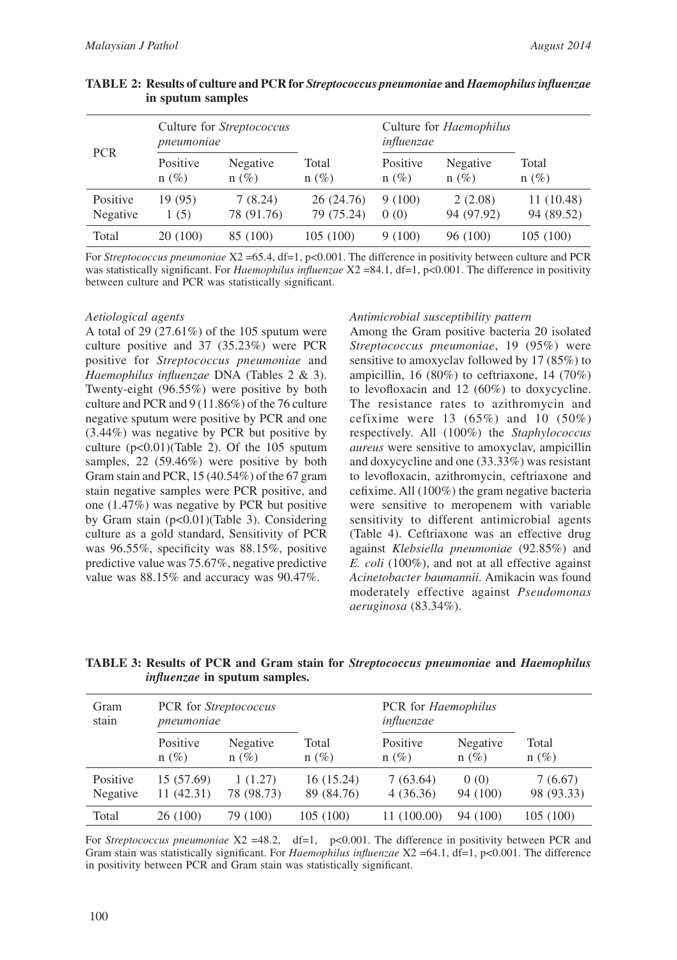| <b>PCR</b>           | Culture for Streptococcus<br>pneumoniae |                       |                          | Culture for <i>Haemophilus</i><br>influenzae |                       |                          |
|----------------------|-----------------------------------------|-----------------------|--------------------------|----------------------------------------------|-----------------------|--------------------------|
|                      | Positive<br>$n(\%)$                     | Negative<br>$n(\%)$   | Total<br>$n(\%)$         | Positive<br>$n(\%)$                          | Negative<br>$n(\%)$   | Total<br>$n(\%)$         |
| Positive<br>Negative | 19 (95)<br>1(5)                         | 7(8.24)<br>78 (91.76) | 26 (24.76)<br>79 (75.24) | 9(100)<br>0(0)                               | 2(2.08)<br>94 (97.92) | 11 (10.48)<br>94 (89.52) |
| Total                | 20 (100)                                | 85 (100)              | 105(100)                 | 9(100)                                       | 96 (100)              | 105 (100)                |

| TABLE 2: Results of culture and PCR for Streptococcus pneumoniae and Haemophilus influenzae |
|---------------------------------------------------------------------------------------------|
| in sputum samples                                                                           |

For *Streptococcus pneumoniae*  $X2 = 65.4$ , df=1, p<0.001. The difference in positivity between culture and PCR was statistically significant. For *Haemophilus influenzae*  $X2 = 84.1$ , df=1, p<0.001. The difference in positivity between culture and PCR was statistically significant.

#### *Aetiological agents*

A total of 29 (27.61%) of the 105 sputum were culture positive and 37 (35.23%) were PCR positive for *Streptococcus pneumoniae* and *Haemophilus influenzae* DNA (Tables 2 & 3). Twenty-eight (96.55%) were positive by both culture and PCR and 9 (11.86%) of the 76 culture negative sputum were positive by PCR and one (3.44%) was negative by PCR but positive by culture  $(p<0.01)$ (Table 2). Of the 105 sputum samples, 22 (59.46%) were positive by both Gram stain and PCR, 15 (40.54%) of the 67 gram stain negative samples were PCR positive, and one (1.47%) was negative by PCR but positive by Gram stain (p<0.01)(Table 3). Considering culture as a gold standard, Sensitivity of PCR was 96.55%, specificity was 88.15%, positive predictive value was 75.67%, negative predictive value was 88.15% and accuracy was 90.47%.

#### *Antimicrobial susceptibility pattern*

Among the Gram positive bacteria 20 isolated *Streptococcus pneumoniae*, 19 (95%) were sensitive to amoxyclav followed by 17 (85%) to ampicillin, 16 (80%) to ceftriaxone, 14 (70%) to levofloxacin and 12 (60%) to doxycycline. The resistance rates to azithromycin and cefixime were 13  $(65%)$  and 10  $(50%)$ respectively. All (100%) the *Staphylococcus aureus* were sensitive to amoxyclav, ampicillin and doxycycline and one (33.33%) was resistant to levofloxacin, azithromycin, ceftriaxone and cefixime. All (100%) the gram negative bacteria were sensitive to meropenem with variable sensitivity to different antimicrobial agents (Table 4). Ceftriaxone was an effective drug against *Klebsiella pneumoniae* (92.85%) and *E. coli* (100%), and not at all effective against *Acinetobacter baumannii.* Amikacin was found moderately effective against *Pseudomonas aeruginosa* (83.34%).

**TABLE 3: Results of PCR and Gram stain for** *Streptococcus pneumoniae* **and** *Haemophilus influenzae* **in sputum samples.**

| Gram<br>stain        | PCR for Streptococcus<br>pneumoniae |                       |                          | PCR for Haemophilus<br>influenzae |                     |                       |
|----------------------|-------------------------------------|-----------------------|--------------------------|-----------------------------------|---------------------|-----------------------|
|                      | Positive<br>$n(\%)$                 | Negative<br>$n(\%)$   | Total<br>$n(\%)$         | Positive<br>$n(\%)$               | Negative<br>$n(\%)$ | Total<br>$n(\%)$      |
| Positive<br>Negative | 15 (57.69)<br>11 (42.31)            | 1(1.27)<br>78 (98.73) | 16 (15.24)<br>89 (84.76) | 7(63.64)<br>4(36.36)              | 0(0)<br>94 (100)    | 7(6.67)<br>98 (93.33) |
| Total                | 26 (100)                            | 79 (100)              | 105(100)                 | 11 (100.00)                       | 94 (100)            | 105(100)              |

For *Streptococcus pneumoniae*  $X2 = 48.2$ , df=1, p<0.001. The difference in positivity between PCR and Gram stain was statistically significant. For *Haemophilus influenzae* X2 = 64.1, df=1, p<0.001. The difference in positivity between PCR and Gram stain was statistically significant.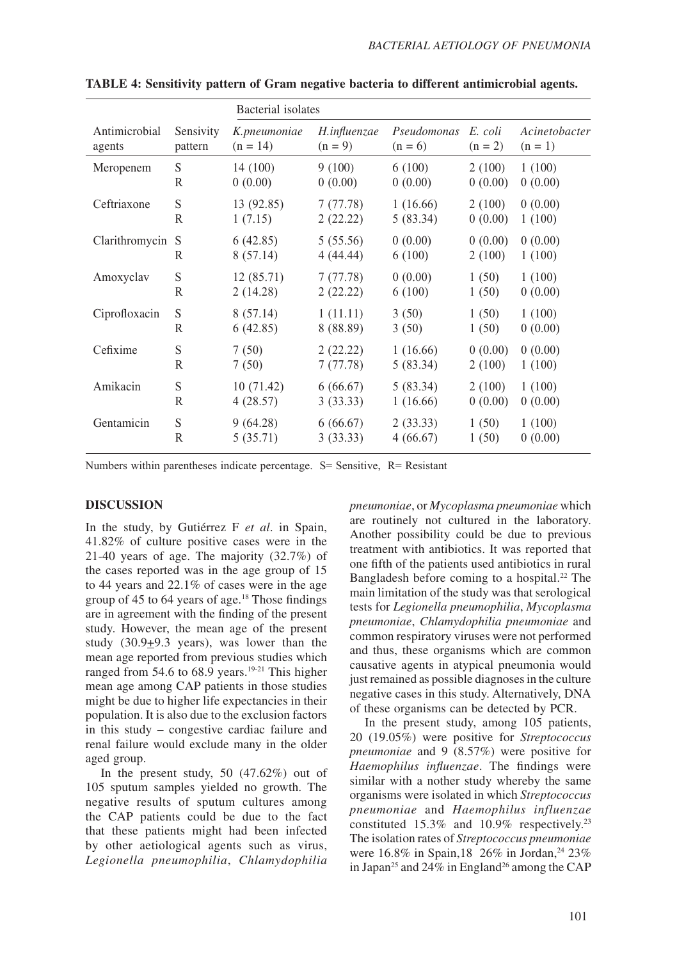|                |                | Bacterial isolates |              |             |           |               |
|----------------|----------------|--------------------|--------------|-------------|-----------|---------------|
| Antimicrobial  | Sensivity      | K.pneumoniae       | H.influenzae | Pseudomonas | E. coli   | Acinetobacter |
| agents         | pattern        | $(n = 14)$         | $(n = 9)$    | $(n = 6)$   | $(n = 2)$ | $(n = 1)$     |
| Meropenem      | ${\mathcal S}$ | 14(100)            | 9(100)       | 6(100)      | 2(100)    | 1(100)        |
|                | R              | 0(0.00)            | 0(0.00)      | 0(0.00)     | 0(0.00)   | 0(0.00)       |
| Ceftriaxone    | ${\bf S}$      | 13 (92.85)         | 7(77.78)     | 1(16.66)    | 2(100)    | 0(0.00)       |
|                | R              | 1(7.15)            | 2(22.22)     | 5(83.34)    | 0(0.00)   | 1(100)        |
| Clarithromycin | S              | 6(42.85)           | 5(55.56)     | 0(0.00)     | 0(0.00)   | 0(0.00)       |
|                | R              | 8(57.14)           | 4(44.44)     | 6(100)      | 2(100)    | 1(100)        |
| Amoxyclav      | ${\bf S}$      | 12(85.71)          | 7(77.78)     | 0(0.00)     | 1(50)     | 1(100)        |
|                | R              | 2(14.28)           | 2(22.22)     | 6(100)      | 1(50)     | 0(0.00)       |
| Ciprofloxacin  | S              | 8(57.14)           | 1(11.11)     | 3(50)       | 1(50)     | 1(100)        |
|                | R              | 6(42.85)           | 8 (88.89)    | 3(50)       | 1(50)     | 0(0.00)       |
| Cefixime       | S              | 7(50)              | 2(22.22)     | 1(16.66)    | 0(0.00)   | 0(0.00)       |
|                | R              | 7(50)              | 7(77.78)     | 5(83.34)    | 2(100)    | 1(100)        |
| Amikacin       | S              | 10(71.42)          | 6(66.67)     | 5(83.34)    | 2(100)    | 1(100)        |
|                | R              | 4(28.57)           | 3(33.33)     | 1(16.66)    | 0(0.00)   | 0(0.00)       |
| Gentamicin     | S              | 9(64.28)           | 6(66.67)     | 2(33.33)    | 1(50)     | 1(100)        |
|                | R              | 5(35.71)           | 3(33.33)     | 4(66.67)    | 1(50)     | 0(0.00)       |

**TABLE 4: Sensitivity pattern of Gram negative bacteria to different antimicrobial agents.**

Numbers within parentheses indicate percentage.  $S=$  Sensitive,  $R=$  Resistant

#### **DISCUSSION**

In the study, by Gutiérrez F *et al*. in Spain, 41.82% of culture positive cases were in the 21-40 years of age. The majority (32.7%) of the cases reported was in the age group of 15 to 44 years and 22.1% of cases were in the age group of 45 to 64 years of age.18 Those findings are in agreement with the finding of the present study. However, the mean age of the present study (30.9+9.3 years), was lower than the mean age reported from previous studies which ranged from  $54.6$  to  $68.9$  years.<sup>19-21</sup> This higher mean age among CAP patients in those studies might be due to higher life expectancies in their population. It is also due to the exclusion factors in this study – congestive cardiac failure and renal failure would exclude many in the older aged group.

In the present study, 50 (47.62%) out of 105 sputum samples yielded no growth. The negative results of sputum cultures among the CAP patients could be due to the fact that these patients might had been infected by other aetiological agents such as virus, *Legionella pneumophilia*, *Chlamydophilia* 

*pneumoniae*, or *Mycoplasma pneumoniae* which are routinely not cultured in the laboratory. Another possibility could be due to previous treatment with antibiotics. It was reported that one fifth of the patients used antibiotics in rural Bangladesh before coming to a hospital.<sup>22</sup> The main limitation of the study was that serological tests for *Legionella pneumophilia*, *Mycoplasma pneumoniae*, *Chlamydophilia pneumoniae* and common respiratory viruses were not performed and thus, these organisms which are common causative agents in atypical pneumonia would just remained as possible diagnoses in the culture negative cases in this study. Alternatively, DNA of these organisms can be detected by PCR.

In the present study, among 105 patients, 20 (19.05%) were positive for *Streptococcus pneumoniae* and 9 (8.57%) were positive for *Haemophilus influenzae*. The findings were similar with a nother study whereby the same organisms were isolated in which *Streptococcus pneumoniae* and *Haemophilus influenzae*  constituted 15.3% and 10.9% respectively.23 The isolation rates of *Streptococcus pneumoniae*  were  $16.8\%$  in Spain, 18 26% in Jordan, <sup>24</sup> 23% in Japan<sup>25</sup> and 24% in England<sup>26</sup> among the CAP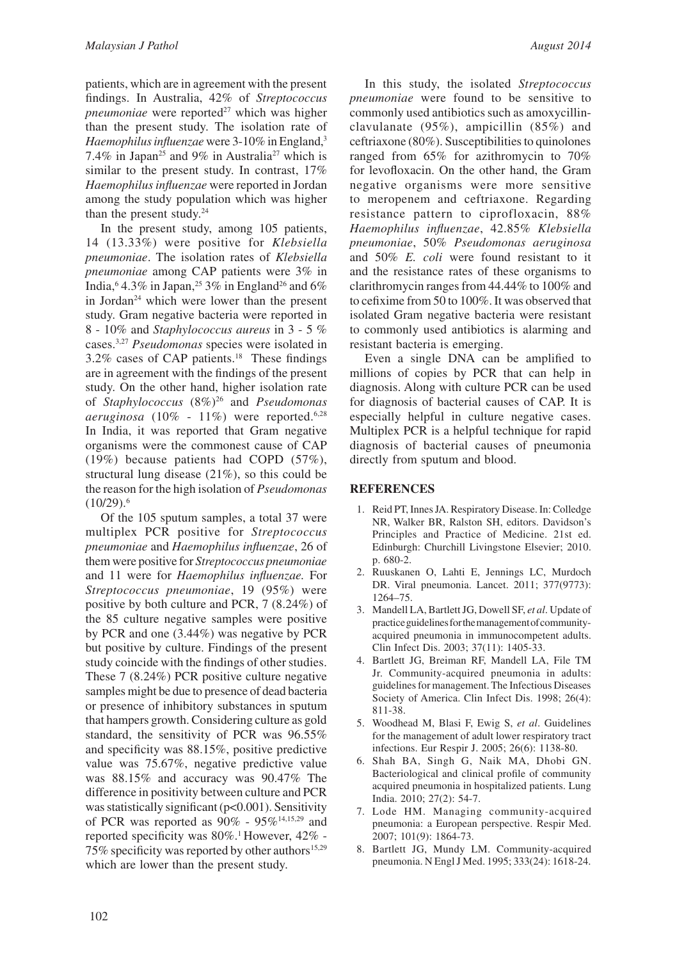patients, which are in agreement with the present findings. In Australia, 42% of *Streptococcus pneumoniae* were reported<sup>27</sup> which was higher than the present study. The isolation rate of *Haemophilus influenzae* were 3-10% in England,3 7.4% in Japan<sup>25</sup> and 9% in Australia<sup>27</sup> which is similar to the present study. In contrast, 17% *Haemophilus influenzae* were reported in Jordan among the study population which was higher than the present study. $24$ 

In the present study, among 105 patients, 14 (13.33%) were positive for *Klebsiella pneumoniae*. The isolation rates of *Klebsiella pneumoniae* among CAP patients were 3% in India,<sup>6</sup> 4.3% in Japan,<sup>25</sup> 3% in England<sup>26</sup> and 6% in Jordan<sup>24</sup> which were lower than the present study. Gram negative bacteria were reported in 8 - 10% and *Staphylococcus aureus* in 3 - 5 % cases.3,27 *Pseudomonas* species were isolated in  $3.2\%$  cases of CAP patients.<sup>18</sup> These findings are in agreement with the findings of the present study. On the other hand, higher isolation rate of *Staphylococcus* (8%)26 and *Pseudomonas aeruginosa* (10% - 11%) were reported.6,28 In India, it was reported that Gram negative organisms were the commonest cause of CAP (19%) because patients had COPD (57%), structural lung disease (21%), so this could be the reason for the high isolation of *Pseudomonas*   $(10/29).$ <sup>6</sup>

Of the 105 sputum samples, a total 37 were multiplex PCR positive for *Streptococcus pneumoniae* and *Haemophilus influenzae*, 26 of them were positive for *Streptococcus pneumoniae* and 11 were for *Haemophilus influenzae.* For *Streptococcus pneumoniae*, 19 (95%) were positive by both culture and PCR, 7 (8.24%) of the 85 culture negative samples were positive by PCR and one (3.44%) was negative by PCR but positive by culture. Findings of the present study coincide with the findings of other studies. These 7 (8.24%) PCR positive culture negative samples might be due to presence of dead bacteria or presence of inhibitory substances in sputum that hampers growth. Considering culture as gold standard, the sensitivity of PCR was 96.55% and specificity was 88.15%, positive predictive value was 75.67%, negative predictive value was 88.15% and accuracy was 90.47% The difference in positivity between culture and PCR was statistically significant (p<0.001). Sensitivity of PCR was reported as 90% - 95%<sup>14,15,29</sup> and reported specificity was 80%.<sup>1</sup> However, 42% -75% specificity was reported by other authors<sup>15,29</sup> which are lower than the present study.

In this study, the isolated *Streptococcus pneumoniae* were found to be sensitive to commonly used antibiotics such as amoxycillinclavulanate (95%), ampicillin (85%) and ceftriaxone (80%). Susceptibilities to quinolones ranged from 65% for azithromycin to 70% for levofloxacin. On the other hand, the Gram negative organisms were more sensitive to meropenem and ceftriaxone. Regarding resistance pattern to ciprofloxacin, 88% *Haemophilus influenzae*, 42.85% *Klebsiella pneumoniae*, 50% *Pseudomonas aeruginosa* and 50% *E. coli* were found resistant to it and the resistance rates of these organisms to clarithromycin ranges from 44.44% to 100% and to cefixime from 50 to 100%. It was observed that isolated Gram negative bacteria were resistant to commonly used antibiotics is alarming and resistant bacteria is emerging.

Even a single DNA can be amplified to millions of copies by PCR that can help in diagnosis. Along with culture PCR can be used for diagnosis of bacterial causes of CAP. It is especially helpful in culture negative cases. Multiplex PCR is a helpful technique for rapid diagnosis of bacterial causes of pneumonia directly from sputum and blood.

### **REFERENCES**

- 1. Reid PT, Innes JA. Respiratory Disease. In: Colledge NR, Walker BR, Ralston SH, editors. Davidson's Principles and Practice of Medicine. 21st ed. Edinburgh: Churchill Livingstone Elsevier; 2010. p. 680-2.
- 2. Ruuskanen O, Lahti E, Jennings LC, Murdoch DR. Viral pneumonia. Lancet. 2011; 377(9773): 1264–75.
- 3. Mandell LA, Bartlett JG, Dowell SF, *et al*. Update of practice guidelines for the management of communityacquired pneumonia in immunocompetent adults. Clin Infect Dis. 2003; 37(11): 1405-33.
- 4. Bartlett JG, Breiman RF, Mandell LA, File TM Jr. Community-acquired pneumonia in adults: guidelines for management. The Infectious Diseases Society of America. Clin Infect Dis. 1998; 26(4): 811-38.
- 5. Woodhead M, Blasi F, Ewig S, *et al*. Guidelines for the management of adult lower respiratory tract infections. Eur Respir J. 2005; 26(6): 1138-80.
- 6. Shah BA, Singh G, Naik MA, Dhobi GN. Bacteriological and clinical profile of community acquired pneumonia in hospitalized patients. Lung India. 2010; 27(2): 54-7.
- 7. Lode HM. Managing community-acquired pneumonia: a European perspective. Respir Med. 2007; 101(9): 1864-73.
- 8. Bartlett JG, Mundy LM. Community-acquired pneumonia. N Engl J Med. 1995; 333(24): 1618-24.